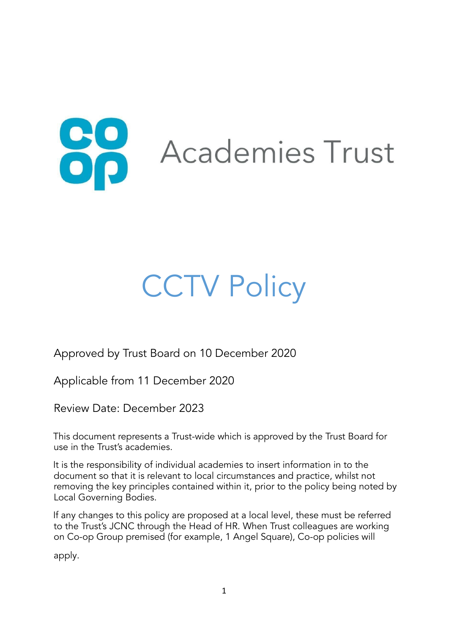

# **CCTV Policy**

Approved by Trust Board on 10 December 2020

Applicable from 11 December 2020

Review Date: December 2023

This document represents a Trust-wide which is approved by the Trust Board for use in the Trust's academies.

It is the responsibility of individual academies to insert information in to the document so that it is relevant to local circumstances and practice, whilst not removing the key principles contained within it, prior to the policy being noted by Local Governing Bodies.

If any changes to this policy are proposed at a local level, these must be referred to the Trust's JCNC through the Head of HR. When Trust colleagues are working on Co-op Group premised (for example, 1 Angel Square), Co-op policies will

apply.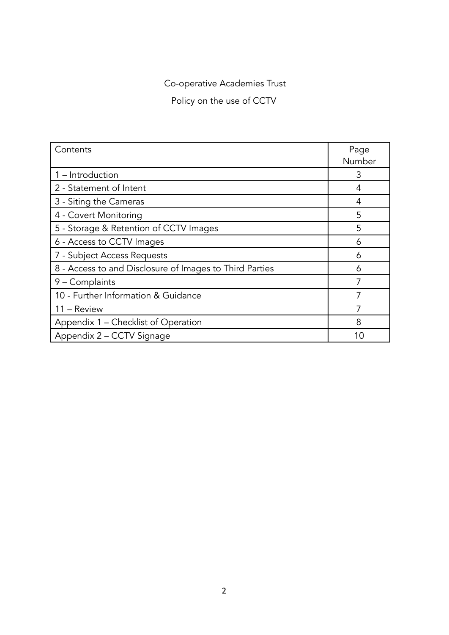Co-operative Academies Trust

Policy on the use of CCTV

| Contents                                                | Page   |
|---------------------------------------------------------|--------|
|                                                         | Number |
| 1 - Introduction                                        | 3      |
| 2 - Statement of Intent                                 | 4      |
| 3 - Siting the Cameras                                  | 4      |
| 4 - Covert Monitoring                                   | 5      |
| 5 - Storage & Retention of CCTV Images                  | 5      |
| 6 - Access to CCTV Images                               | 6      |
| 7 - Subject Access Requests                             | 6      |
| 8 - Access to and Disclosure of Images to Third Parties | 6      |
| 9 - Complaints                                          | 7      |
| 10 - Further Information & Guidance                     |        |
| 11 - Review                                             |        |
| Appendix 1 – Checklist of Operation                     | 8      |
| Appendix 2 - CCTV Signage                               | 10     |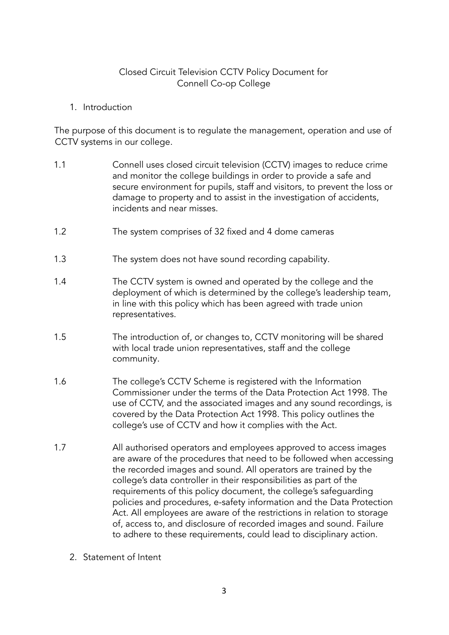#### Closed Circuit Television CCTV Policy Document for Connell Co-op College

1. Introduction

The purpose of this document is to regulate the management, operation and use of CCTV systems in our college.

- 1.1 Connell uses closed circuit television (CCTV) images to reduce crime and monitor the college buildings in order to provide a safe and secure environment for pupils, staff and visitors, to prevent the loss or damage to property and to assist in the investigation of accidents, incidents and near misses.
- 1.2 The system comprises of 32 fixed and 4 dome cameras
- 1.3 The system does not have sound recording capability.
- 1.4 The CCTV system is owned and operated by the college and the deployment of which is determined by the college's leadership team, in line with this policy which has been agreed with trade union representatives.
- 1.5 The introduction of, or changes to, CCTV monitoring will be shared with local trade union representatives, staff and the college community.
- 1.6 The college's CCTV Scheme is registered with the Information Commissioner under the terms of the Data Protection Act 1998. The use of CCTV, and the associated images and any sound recordings, is covered by the Data Protection Act 1998. This policy outlines the college's use of CCTV and how it complies with the Act.
- 1.7 All authorised operators and employees approved to access images are aware of the procedures that need to be followed when accessing the recorded images and sound. All operators are trained by the college's data controller in their responsibilities as part of the requirements of this policy document, the college's safeguarding policies and procedures, e-safety information and the Data Protection Act. All employees are aware of the restrictions in relation to storage of, access to, and disclosure of recorded images and sound. Failure to adhere to these requirements, could lead to disciplinary action.
	- 2. Statement of Intent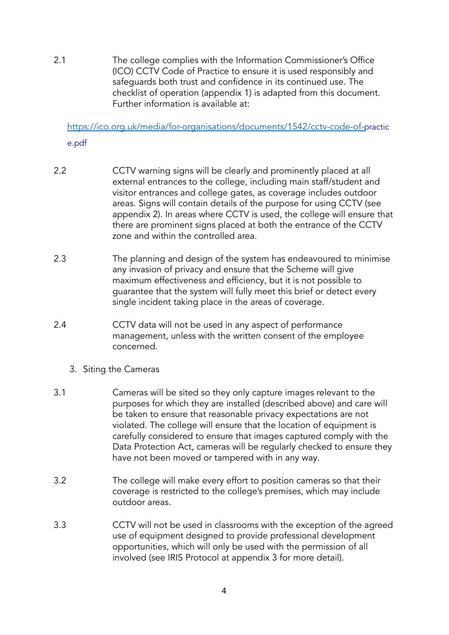2.1 The college complies with the Information Commissioner's Office (ICO) CCTV Code of Practice to ensure it is used responsibly and safeguards both trust and confidence in its continued use. The checklist of operation (appendix 1) is adapted from this document. Further information is available at:

<https://ico.org.uk/media/for-organisations/documents/1542/cctv-code-of->practic e.pdf

- 2.2 CCTV warning signs will be clearly and prominently placed at all external entrances to the college, including main staff/student and visitor entrances and college gates, as coverage includes outdoor areas. Signs will contain details of the purpose for using CCTV (see appendix 2). In areas where CCTV is used, the college will ensure that there are prominent signs placed at both the entrance of the CCTV zone and within the controlled area.
- 2.3 The planning and design of the system has endeavoured to minimise any invasion of privacy and ensure that the Scheme will give maximum effectiveness and efficiency, but it is not possible to guarantee that the system will fully meet this brief or detect every single incident taking place in the areas of coverage.
- 2.4 CCTV data will not be used in any aspect of performance management, unless with the written consent of the employee concerned.
	- 3. Siting the Cameras
- 3.1 Cameras will be sited so they only capture images relevant to the purposes for which they are installed (described above) and care will be taken to ensure that reasonable privacy expectations are not violated. The college will ensure that the location of equipment is carefully considered to ensure that images captured comply with the Data Protection Act, cameras will be regularly checked to ensure they have not been moved or tampered with in any way.
- 3.2 The college will make every effort to position cameras so that their coverage is restricted to the college's premises, which may include outdoor areas.
- 3.3 CCTV will not be used in classrooms with the exception of the agreed use of equipment designed to provide professional development opportunities, which will only be used with the permission of all involved (see IRIS Protocol at appendix 3 for more detail).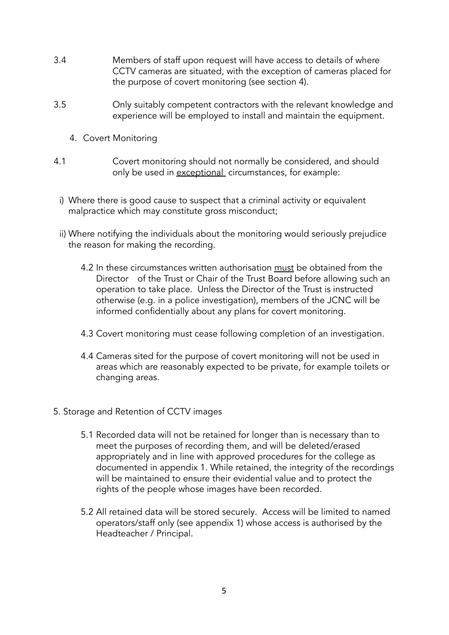- 3.4 Members of staff upon request will have access to details of where CCTV cameras are situated, with the exception of cameras placed for the purpose of covert monitoring (see section 4).
- 3.5 Only suitably competent contractors with the relevant knowledge and experience will be employed to install and maintain the equipment.
	- 4. Covert Monitoring
- 4.1 Covert monitoring should not normally be considered, and should only be used in exceptional circumstances, for example:
- i) Where there is good cause to suspect that a criminal activity or equivalent malpractice which may constitute gross misconduct;
- ii) Where notifying the individuals about the monitoring would seriously prejudice the reason for making the recording.
	- 4.2 In these circumstances written authorisation must be obtained from the Director of the Trust or Chair of the Trust Board before allowing such an operation to take place. Unless the Director of the Trust is instructed otherwise (e.g. in a police investigation), members of the JCNC will be informed confidentially about any plans for covert monitoring.
	- 4.3 Covert monitoring must cease following completion of an investigation.
	- 4.4 Cameras sited for the purpose of covert monitoring will not be used in areas which are reasonably expected to be private, for example toilets or changing areas.
- 5. Storage and Retention of CCTV images
	- 5.1 Recorded data will not be retained for longer than is necessary than to meet the purposes of recording them, and will be deleted/erased appropriately and in line with approved procedures for the college as documented in appendix 1. While retained, the integrity of the recordings will be maintained to ensure their evidential value and to protect the rights of the people whose images have been recorded.
	- 5.2 All retained data will be stored securely. Access will be limited to named operators/staff only (see appendix 1) whose access is authorised by the Headteacher / Principal.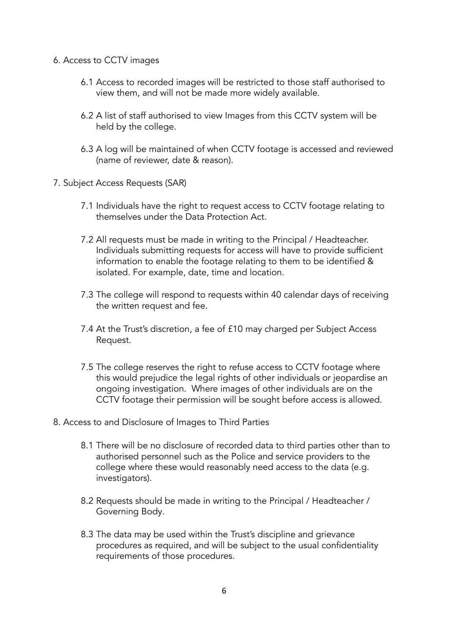- 6. Access to CCTV images
	- 6.1 Access to recorded images will be restricted to those staff authorised to view them, and will not be made more widely available.
	- 6.2 A list of staff authorised to view Images from this CCTV system will be held by the college.
	- 6.3 A log will be maintained of when CCTV footage is accessed and reviewed (name of reviewer, date & reason).
- 7. Subject Access Requests (SAR)
	- 7.1 Individuals have the right to request access to CCTV footage relating to themselves under the Data Protection Act.
	- 7.2 All requests must be made in writing to the Principal / Headteacher. Individuals submitting requests for access will have to provide sufficient information to enable the footage relating to them to be identified & isolated. For example, date, time and location.
	- 7.3 The college will respond to requests within 40 calendar days of receiving the written request and fee.
	- 7.4 At the Trust's discretion, a fee of £10 may charged per Subject Access Request.
	- 7.5 The college reserves the right to refuse access to CCTV footage where this would prejudice the legal rights of other individuals or jeopardise an ongoing investigation. Where images of other individuals are on the CCTV footage their permission will be sought before access is allowed.
- 8. Access to and Disclosure of Images to Third Parties
	- 8.1 There will be no disclosure of recorded data to third parties other than to authorised personnel such as the Police and service providers to the college where these would reasonably need access to the data (e.g. investigators).
	- 8.2 Requests should be made in writing to the Principal / Headteacher / Governing Body.
	- 8.3 The data may be used within the Trust's discipline and grievance procedures as required, and will be subject to the usual confidentiality requirements of those procedures.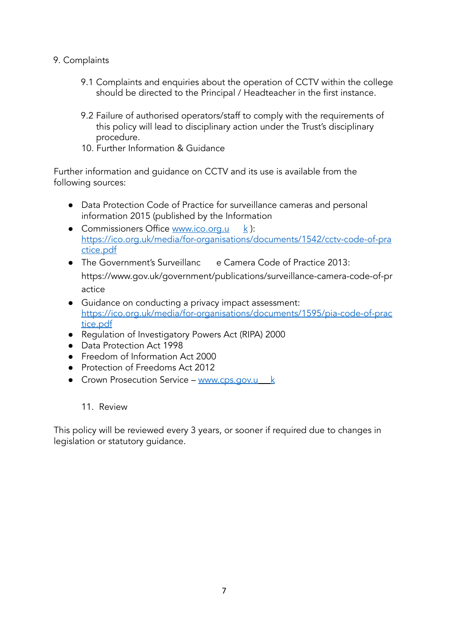## 9. Complaints

- 9.1 Complaints and enquiries about the operation of CCTV within the college should be directed to the Principal / Headteacher in the first instance.
- 9.2 Failure of authorised operators/staff to comply with the requirements of this policy will lead to disciplinary action under the Trust's disciplinary procedure.
- 10. Further Information & Guidance

Further information and guidance on CCTV and its use is available from the following sources:

- Data Protection Code of Practice for surveillance cameras and personal information 2015 (published by the Information
- Commissioners Office [www.ico.org.u](http://www.ico.org.uk/)  $k$ ): [https://ico.org.uk/media/for-organisations/documents/1542/cctv-code-of-pra](https://ico.org.uk/media/for-organisations/documents/1542/cctv-code-of-practice.pdf) [ctice.pdf](https://ico.org.uk/media/for-organisations/documents/1542/cctv-code-of-practice.pdf)
- The Government's [Surveillanc](http://www.ico.org.uk/) [e](http://www.ico.org.uk/) Camera Code of Practice 2013: https://www.gov.uk/government/publications/surveillance-camera-code-of-pr actice
- Guidance on conducting a privacy impact assessment: [https://ico.org.uk/media/for-organisations/documents/1595/pia-code-of-prac](https://ico.org.uk/media/for-organisations/documents/1595/pia-code-of-practice.pdf) [tice.pdf](https://ico.org.uk/media/for-organisations/documents/1595/pia-code-of-practice.pdf)
- Regulation of Investigatory Powers Act (RIPA) 2000
- Data Protection Act 1998
- Freedom of Information Act 2000
- Protection of Freedoms Act 2012
- Crown Prosecution Service [www.cps.gov.u](http://www.cps.gov.uk/) [k](http://www.cps.gov.uk/)

#### 11. Review

This policy will be reviewed every 3 years, or sooner if required due to changes in legislation or statutory guidance.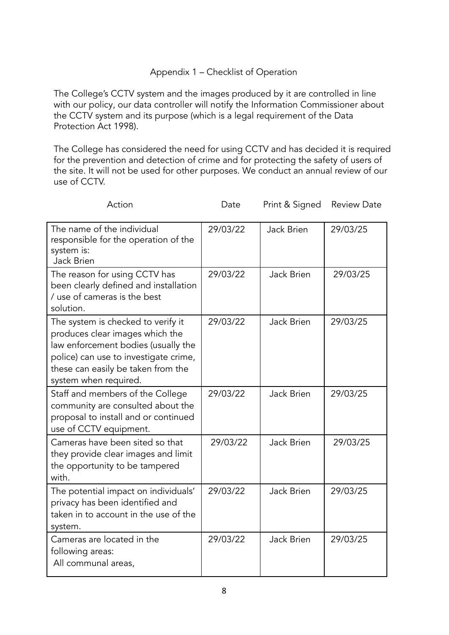### Appendix 1 – Checklist of Operation

The College's CCTV system and the images produced by it are controlled in line with our policy, our data controller will notify the Information Commissioner about the CCTV system and its purpose (which is a legal requirement of the Data Protection Act 1998).

The College has considered the need for using CCTV and has decided it is required for the prevention and detection of crime and for protecting the safety of users of the site. It will not be used for other purposes. We conduct an annual review of our use of CCTV.

| Action                                                                                                                                                                                                               | Date     | Print & Signed    | <b>Review Date</b> |
|----------------------------------------------------------------------------------------------------------------------------------------------------------------------------------------------------------------------|----------|-------------------|--------------------|
| The name of the individual<br>responsible for the operation of the<br>system is:<br><b>Jack Brien</b>                                                                                                                | 29/03/22 | Jack Brien        | 29/03/25           |
| The reason for using CCTV has<br>been clearly defined and installation<br>/ use of cameras is the best<br>solution.                                                                                                  | 29/03/22 | <b>Jack Brien</b> | 29/03/25           |
| The system is checked to verify it<br>produces clear images which the<br>law enforcement bodies (usually the<br>police) can use to investigate crime,<br>these can easily be taken from the<br>system when required. | 29/03/22 | Jack Brien        | 29/03/25           |
| Staff and members of the College<br>community are consulted about the<br>proposal to install and or continued<br>use of CCTV equipment.                                                                              | 29/03/22 | Jack Brien        | 29/03/25           |
| Cameras have been sited so that<br>they provide clear images and limit<br>the opportunity to be tampered<br>with.                                                                                                    | 29/03/22 | <b>Jack Brien</b> | 29/03/25           |
| The potential impact on individuals'<br>privacy has been identified and<br>taken in to account in the use of the<br>system.                                                                                          | 29/03/22 | Jack Brien        | 29/03/25           |
| Cameras are located in the<br>following areas:<br>All communal areas,                                                                                                                                                | 29/03/22 | Jack Brien        | 29/03/25           |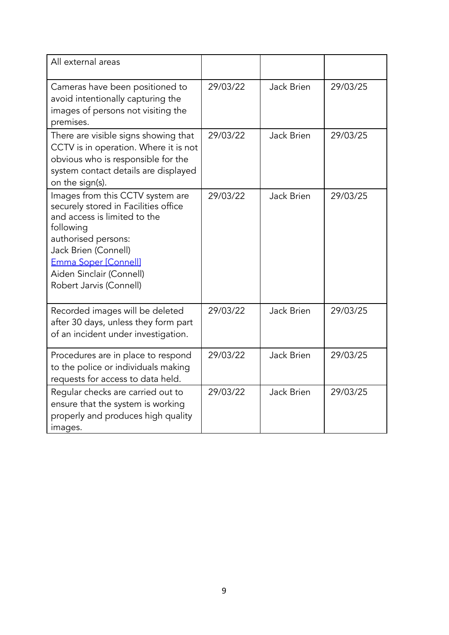| All external areas                                                                                                                                                                                                                                  |          |                   |          |
|-----------------------------------------------------------------------------------------------------------------------------------------------------------------------------------------------------------------------------------------------------|----------|-------------------|----------|
| Cameras have been positioned to<br>avoid intentionally capturing the<br>images of persons not visiting the<br>premises.                                                                                                                             | 29/03/22 | Jack Brien        | 29/03/25 |
| There are visible signs showing that<br>CCTV is in operation. Where it is not<br>obvious who is responsible for the<br>system contact details are displayed<br>on the sign(s).                                                                      | 29/03/22 | <b>Jack Brien</b> | 29/03/25 |
| Images from this CCTV system are<br>securely stored in Facilities office<br>and access is limited to the<br>following<br>authorised persons:<br>Jack Brien (Connell)<br>Emma Soper [Connell]<br>Aiden Sinclair (Connell)<br>Robert Jarvis (Connell) | 29/03/22 | <b>Jack Brien</b> | 29/03/25 |
| Recorded images will be deleted<br>after 30 days, unless they form part<br>of an incident under investigation.                                                                                                                                      | 29/03/22 | Jack Brien        | 29/03/25 |
| Procedures are in place to respond<br>to the police or individuals making<br>requests for access to data held.                                                                                                                                      | 29/03/22 | Jack Brien        | 29/03/25 |
| Regular checks are carried out to<br>ensure that the system is working<br>properly and produces high quality<br>images.                                                                                                                             | 29/03/22 | Jack Brien        | 29/03/25 |